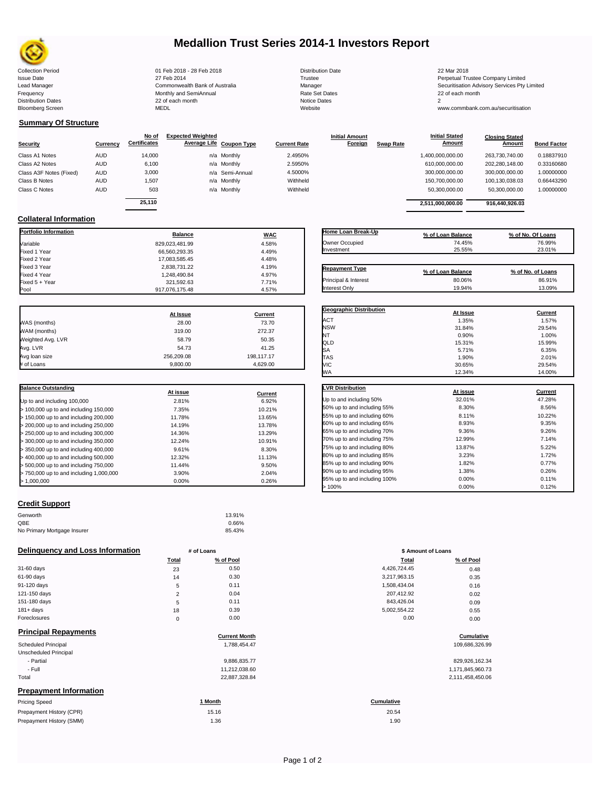

# **Medallion Trust Series 2014-1 Investors Report**

Collection Period 01 Feb 2018 - 28 Feb 2018 Distribution Date 22 Mar 2018

**Summary Of Structure**

Issue Date 2014 27 Feb 2014 27 Feb 2014<br>Isaad Manager 2015 2017 Commonwealth Bank of Australia 2016 Manager 2016 2017 2017 Securitisation Advisory Services Pty Frequency 22 of each month Monthly and SemiAnnual Rate Set Dates 22 of each month 22 of each month 22 of each month<br>Distribution Dates 22 of each month 22 of each month 20 of each month and the Set Dates 20 month 2 Bloomberg Screen MEDL Website www.commbank.com.au/securitisation

1,248,490.84 4.97%<br>321,592.63 7.71%

| <b>Distribution Date</b> |  |
|--------------------------|--|
| Trustee                  |  |
| Manager                  |  |
| Rate Set Dates           |  |
| Notice Dates             |  |
| Website                  |  |

Lead Manager **Commonwealth Bank of Australia** Manager Manager Securitisation Advisory Services Pty Limited

**Collateral Information**

|                         |            | No of               | <b>Expected Weighted</b> |                 |                     | <b>Initial Amount</b> |                  | <b>Initial Stated</b> | <b>Closing Stated</b> |                    |
|-------------------------|------------|---------------------|--------------------------|-----------------|---------------------|-----------------------|------------------|-----------------------|-----------------------|--------------------|
| <b>Security</b>         | Currency   | <b>Certificates</b> | Average Life Coupon Type |                 | <b>Current Rate</b> | Foreign               | <b>Swap Rate</b> | <b>Amount</b>         | Amount                | <b>Bond Factor</b> |
| Class A1 Notes          | <b>AUD</b> | 14.000              |                          | n/a Monthly     | 2.4950%             |                       |                  | 1,400,000,000.00      | 263.730.740.00        | 0.18837910         |
| Class A2 Notes          | <b>AUD</b> | 6,100               |                          | n/a Monthly     | 2.5950%             |                       |                  | 610,000,000.00        | 202.280.148.00        | 0.33160680         |
| Class A3F Notes (Fixed) | <b>AUD</b> | 3,000               |                          | n/a Semi-Annual | 4.5000%             |                       |                  | 300,000,000.00        | 300,000,000.00        | 1.00000000         |
| Class B Notes           | <b>AUD</b> | 1.507               |                          | n/a Monthly     | Withheld            |                       |                  | 150,700,000.00        | 100.130.038.03        | 0.66443290         |
| Class C Notes           | <b>AUD</b> | 503                 |                          | n/a Monthly     | Withheld            |                       |                  | 50,300,000.00         | 50,300,000.00         | 1.00000000         |
|                         |            | 25.110              |                          |                 |                     |                       |                  |                       |                       |                    |
|                         |            |                     |                          |                 |                     |                       |                  | 2.511.000.000.00      | 916.440.926.03        |                    |

**Portfolio Information Balance WAC** Variable 829,023,481.99 4.58% Fixed 1 Year 66,560,293.35 4.49% Fixed 2 Year 17,083,585.45 4.48% Fixed 3 Year 2,838,731.22 4.19%

Fixed 5 + Year 321,592.63 7.71%

| Home Loan Break-Up    |                   |                   |
|-----------------------|-------------------|-------------------|
|                       | % of Loan Balance | % of No. Of Loans |
| Owner Occupied        | 74.45%            | 76.99%            |
| Investment            | 25.55%            | 23.01%            |
|                       |                   |                   |
| <b>Repayment Type</b> | % of Loan Balance | % of No. of Loans |

| <b>Repayment Type</b> | % of Loan Balance | % of No. of Loans |
|-----------------------|-------------------|-------------------|
| Principal & Interest  | 80.06%            | 86.91%            |
| Interest Only         | 19.94%            | 13.09%            |

|                   | At Issue   | <b>Current</b> |
|-------------------|------------|----------------|
| WAS (months)      | 28.00      | 73.70          |
| WAM (months)      | 319.00     | 272.37         |
| Weighted Avg. LVR | 58.79      | 50.35          |
| Avg. LVR          | 54.73      | 41.25          |
| Avg loan size     | 256.209.08 | 198.117.17     |
| # of Loans        | 9.800.00   | 4.629.00       |

917,076,175.48

| <b>Balance Outstanding</b>              | At issue | Current |
|-----------------------------------------|----------|---------|
| Up to and including 100,000             | 2.81%    | 6.92%   |
| $>$ 100,000 up to and including 150,000 | 7.35%    | 10.21%  |
| $>$ 150,000 up to and including 200,000 | 11.78%   | 13.65%  |
| > 200,000 up to and including 250,000   | 14.19%   | 13.78%  |
| $>$ 250,000 up to and including 300,000 | 14.36%   | 13.29%  |
| $>$ 300,000 up to and including 350,000 | 12.24%   | 10.91%  |
| $>$ 350,000 up to and including 400,000 | 9.61%    | 8.30%   |
| $>$ 400,000 up to and including 500,000 | 12.32%   | 11.13%  |
| > 500,000 up to and including 750,000   | 11.44%   | 9.50%   |
| > 750,000 up to and including 1,000,000 | 3.90%    | 2.04%   |
| > 1.000.000                             | $0.00\%$ | 0.26%   |

# **Credit Support**

| Genworth                    | 13.91% |
|-----------------------------|--------|
| QBE                         | 0.66%  |
| No Primary Mortgage Insurer | 85.43% |

## **Delinquency and Loss Information # of Loans**

|              | Total         | % of Pool | Total        | % of Pool |
|--------------|---------------|-----------|--------------|-----------|
| 31-60 days   | 23            | 0.50      | 4,426,724.45 | 0.48      |
| 61-90 days   | 14            | 0.30      | 3,217,963.15 | 0.35      |
| 91-120 days  | 5             | 0.11      | 1,508,434.04 | 0.16      |
| 121-150 days | $\mathcal{D}$ | 0.04      | 207,412.92   | 0.02      |
| 151-180 days | 5             | 0.11      | 843,426.04   | 0.09      |
| $181 + days$ | 18            | 0.39      | 5.002.554.22 | 0.55      |
| Foreclosures | $\Omega$      | 0.00      | 0.00         | 0.00      |

Prepayment History (SMM)

| <b>Principal Repayments</b>   |                      |                   |
|-------------------------------|----------------------|-------------------|
|                               | <b>Current Month</b> | Cumulative        |
| Scheduled Principal           | 1.788.454.47         | 109,686,326.99    |
| Unscheduled Principal         |                      |                   |
| - Partial                     | 9,886,835.77         | 829,926,162.34    |
| - Full                        | 11,212,038.60        | 1,171,845,960.73  |
| Total                         | 22,887,328.84        | 2,111,458,450.06  |
| <b>Prepayment Information</b> |                      |                   |
| <b>Pricing Speed</b>          | 1 Month              | <b>Cumulative</b> |
| Prepayment History (CPR)      | 15.16                | 20.54             |

| <b>Geographic Distribution</b> | At Issue | <b>Current</b> |
|--------------------------------|----------|----------------|
| <b>ACT</b>                     | 1.35%    | 1.57%          |
| <b>NSW</b>                     | 31.84%   | 29.54%         |
| NT                             | 0.90%    | 1.00%          |
| QLD                            | 15.31%   | 15.99%         |
| SA                             | 5.71%    | 6.35%          |
| <b>TAS</b>                     | 1.90%    | 2.01%          |
| VIC                            | 30.65%   | 29.54%         |
| WА                             | 12.34%   | 14.00%         |
|                                |          |                |
| <b>LVR Distribution</b>        | At issue | <b>Current</b> |
| Up to and including 50%        | 32.01%   | 47.28%         |
| 50% up to and including 55%    | 8.30%    | 8.56%          |
| 55% up to and including 60%    | 8.11%    | 10.22%         |
| 60% up to and including 65%    | 8.93%    | 9.35%          |
| 65% up to and including 70%    | 9.36%    | 9.26%          |
| 70% up to and including 75%    | 12.99%   | 7.14%          |
| 75% up to and including 80%    | 13.87%   | 5.22%          |
| 80% up to and including 85%    | 3.23%    | 1.72%          |
| 85% up to and including 90%    | 1.82%    | 0.77%          |
| 90% up to and including 95%    | 1.38%    | 0.26%          |
| 95% up to and including 100%   | 0.00%    | 0.11%          |
| >100%                          | 0.00%    | 0.12%          |

|                | # of Loans | \$ Amount of Loans |           |  |
|----------------|------------|--------------------|-----------|--|
| Total          | % of Pool  | Total              | % of Pool |  |
| 23             | 0.50       | 4,426,724.45       | 0.48      |  |
| 14             | 0.30       | 3,217,963.15       | 0.35      |  |
| 5              | 0.11       | 1,508,434.04       | 0.16      |  |
| $\overline{2}$ | 0.04       | 207,412.92         | 0.02      |  |
| 5              | 0.11       | 843,426.04         | 0.09      |  |
| 18             | 0.39       | 5,002,554.22       | 0.55      |  |
| $\mathbf 0$    | 0.00       | 0.00               | 0.00      |  |

# **Current Month Cumulative**

| 829.926.162.34   |
|------------------|
| 1,171,845,960.73 |
| 2 111 458 450 06 |

1.36 1.90 20.54